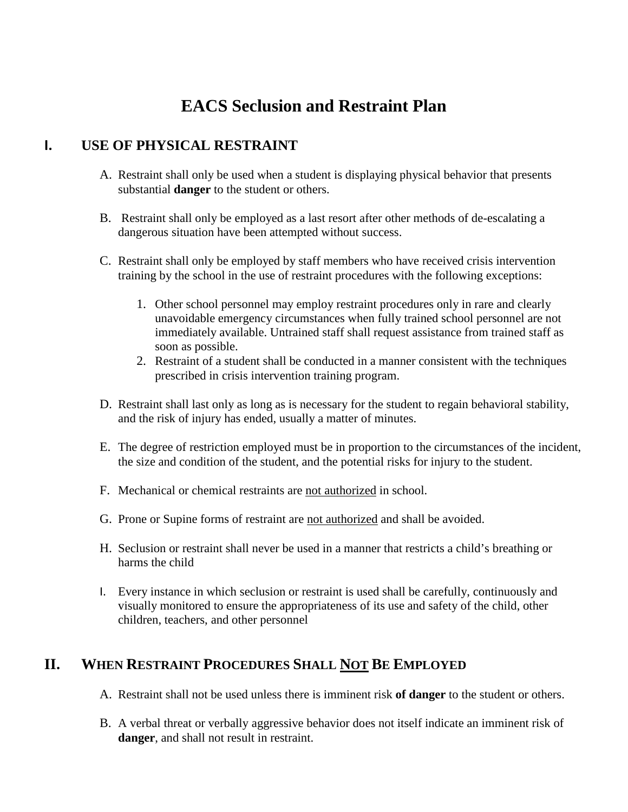# **EACS Seclusion and Restraint Plan**

#### **I. USE OF PHYSICAL RESTRAINT**

- A. Restraint shall only be used when a student is displaying physical behavior that presents substantial **danger** to the student or others.
- B. Restraint shall only be employed as a last resort after other methods of de-escalating a dangerous situation have been attempted without success.
- C. Restraint shall only be employed by staff members who have received crisis intervention training by the school in the use of restraint procedures with the following exceptions:
	- 1. Other school personnel may employ restraint procedures only in rare and clearly unavoidable emergency circumstances when fully trained school personnel are not immediately available. Untrained staff shall request assistance from trained staff as soon as possible.
	- 2. Restraint of a student shall be conducted in a manner consistent with the techniques prescribed in crisis intervention training program.
- D. Restraint shall last only as long as is necessary for the student to regain behavioral stability, and the risk of injury has ended, usually a matter of minutes.
- E. The degree of restriction employed must be in proportion to the circumstances of the incident, the size and condition of the student, and the potential risks for injury to the student.
- F. Mechanical or chemical restraints are not authorized in school.
- G. Prone or Supine forms of restraint are not authorized and shall be avoided.
- H. Seclusion or restraint shall never be used in a manner that restricts a child's breathing or harms the child
- I. Every instance in which seclusion or restraint is used shall be carefully, continuously and visually monitored to ensure the appropriateness of its use and safety of the child, other children, teachers, and other personnel

#### **II. WHEN RESTRAINT PROCEDURES SHALL NOT BE EMPLOYED**

- A. Restraint shall not be used unless there is imminent risk **of danger** to the student or others.
- B. A verbal threat or verbally aggressive behavior does not itself indicate an imminent risk of **danger**, and shall not result in restraint.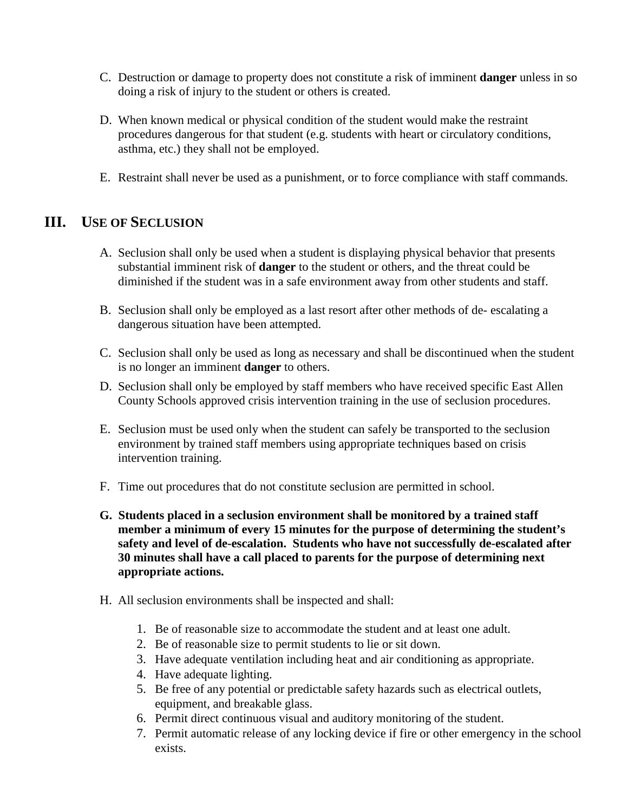- C. Destruction or damage to property does not constitute a risk of imminent **danger** unless in so doing a risk of injury to the student or others is created.
- D. When known medical or physical condition of the student would make the restraint procedures dangerous for that student (e.g. students with heart or circulatory conditions, asthma, etc.) they shall not be employed.
- E. Restraint shall never be used as a punishment, or to force compliance with staff commands*.*

#### **III. USE OF SECLUSION**

- A. Seclusion shall only be used when a student is displaying physical behavior that presents substantial imminent risk of **danger** to the student or others, and the threat could be diminished if the student was in a safe environment away from other students and staff.
- B. Seclusion shall only be employed as a last resort after other methods of de- escalating a dangerous situation have been attempted.
- C. Seclusion shall only be used as long as necessary and shall be discontinued when the student is no longer an imminent **danger** to others.
- D. Seclusion shall only be employed by staff members who have received specific East Allen County Schools approved crisis intervention training in the use of seclusion procedures.
- E. Seclusion must be used only when the student can safely be transported to the seclusion environment by trained staff members using appropriate techniques based on crisis intervention training.
- F. Time out procedures that do not constitute seclusion are permitted in school.
- **G. Students placed in a seclusion environment shall be monitored by a trained staff member a minimum of every 15 minutes for the purpose of determining the student's safety and level of de-escalation. Students who have not successfully de-escalated after 30 minutes shall have a call placed to parents for the purpose of determining next appropriate actions.**
- H. All seclusion environments shall be inspected and shall:
	- 1. Be of reasonable size to accommodate the student and at least one adult.
	- 2. Be of reasonable size to permit students to lie or sit down.
	- 3. Have adequate ventilation including heat and air conditioning as appropriate.
	- 4. Have adequate lighting.
	- 5. Be free of any potential or predictable safety hazards such as electrical outlets, equipment, and breakable glass.
	- 6. Permit direct continuous visual and auditory monitoring of the student.
	- 7. Permit automatic release of any locking device if fire or other emergency in the school exists.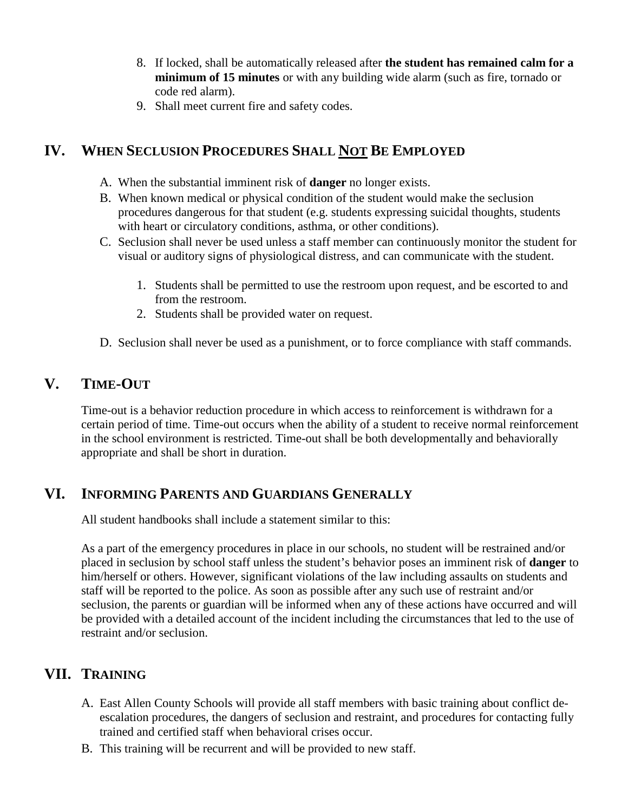- 8. If locked, shall be automatically released after **the student has remained calm for a minimum of 15 minutes** or with any building wide alarm (such as fire, tornado or code red alarm).
- 9. Shall meet current fire and safety codes.

### **IV. WHEN SECLUSION PROCEDURES SHALL NOT BE EMPLOYED**

- A. When the substantial imminent risk of **danger** no longer exists.
- B. When known medical or physical condition of the student would make the seclusion procedures dangerous for that student (e.g. students expressing suicidal thoughts, students with heart or circulatory conditions, asthma, or other conditions).
- C. Seclusion shall never be used unless a staff member can continuously monitor the student for visual or auditory signs of physiological distress, and can communicate with the student.
	- 1. Students shall be permitted to use the restroom upon request, and be escorted to and from the restroom.
	- 2. Students shall be provided water on request.
- D. Seclusion shall never be used as a punishment, or to force compliance with staff commands.

#### **V. TIME-OUT**

Time-out is a behavior reduction procedure in which access to reinforcement is withdrawn for a certain period of time. Time-out occurs when the ability of a student to receive normal reinforcement in the school environment is restricted. Time-out shall be both developmentally and behaviorally appropriate and shall be short in duration.

#### **VI. INFORMING PARENTS AND GUARDIANS GENERALLY**

All student handbooks shall include a statement similar to this:

As a part of the emergency procedures in place in our schools, no student will be restrained and/or placed in seclusion by school staff unless the student's behavior poses an imminent risk of **danger** to him/herself or others. However, significant violations of the law including assaults on students and staff will be reported to the police. As soon as possible after any such use of restraint and/or seclusion, the parents or guardian will be informed when any of these actions have occurred and will be provided with a detailed account of the incident including the circumstances that led to the use of restraint and/or seclusion.

#### **VII. TRAINING**

- A. East Allen County Schools will provide all staff members with basic training about conflict deescalation procedures, the dangers of seclusion and restraint, and procedures for contacting fully trained and certified staff when behavioral crises occur.
- B. This training will be recurrent and will be provided to new staff.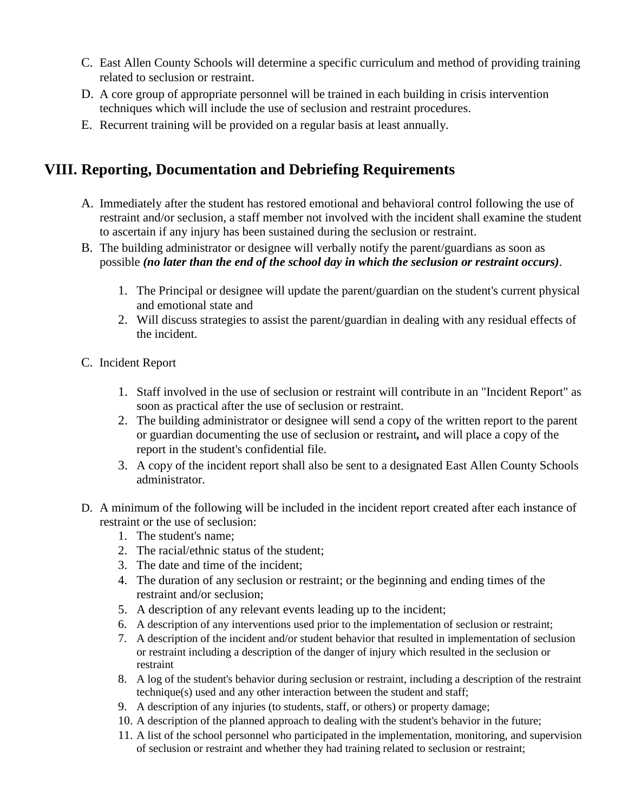- C. East Allen County Schools will determine a specific curriculum and method of providing training related to seclusion or restraint.
- D. A core group of appropriate personnel will be trained in each building in crisis intervention techniques which will include the use of seclusion and restraint procedures.
- E. Recurrent training will be provided on a regular basis at least annually.

## **VIII. Reporting, Documentation and Debriefing Requirements**

- A. Immediately after the student has restored emotional and behavioral control following the use of restraint and/or seclusion, a staff member not involved with the incident shall examine the student to ascertain if any injury has been sustained during the seclusion or restraint.
- B. The building administrator or designee will verbally notify the parent/guardians as soon as possible *(no later than the end of the school day in which the seclusion or restraint occurs)*.
	- 1. The Principal or designee will update the parent/guardian on the student's current physical and emotional state and
	- 2. Will discuss strategies to assist the parent/guardian in dealing with any residual effects of the incident.
- C. Incident Report
	- 1. Staff involved in the use of seclusion or restraint will contribute in an "Incident Report" as soon as practical after the use of seclusion or restraint.
	- 2. The building administrator or designee will send a copy of the written report to the parent or guardian documenting the use of seclusion or restraint*,* and will place a copy of the report in the student's confidential file.
	- 3. A copy of the incident report shall also be sent to a designated East Allen County Schools administrator.
- D. A minimum of the following will be included in the incident report created after each instance of restraint or the use of seclusion:
	- 1. The student's name;
	- 2. The racial/ethnic status of the student;
	- 3. The date and time of the incident;
	- 4. The duration of any seclusion or restraint; or the beginning and ending times of the restraint and/or seclusion;
	- 5. A description of any relevant events leading up to the incident;
	- 6. A description of any interventions used prior to the implementation of seclusion or restraint;
	- 7. A description of the incident and/or student behavior that resulted in implementation of seclusion or restraint including a description of the danger of injury which resulted in the seclusion or restraint
	- 8. A log of the student's behavior during seclusion or restraint, including a description of the restraint technique(s) used and any other interaction between the student and staff;
	- 9. A description of any injuries (to students, staff, or others) or property damage;
	- 10. A description of the planned approach to dealing with the student's behavior in the future;
	- 11. A list of the school personnel who participated in the implementation, monitoring, and supervision of seclusion or restraint and whether they had training related to seclusion or restraint;